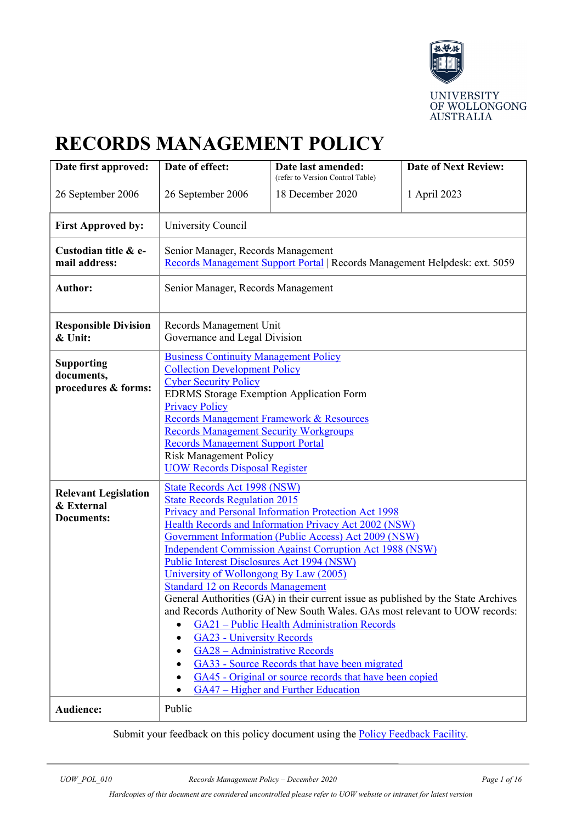

# **RECORDS MANAGEMENT POLICY**

| Date first approved:                                           | Date of effect:                                                                                                                                                                                                                                                                                                                                                                                                                                                                                                                                                                                                                                                                                                                                                                                                                                                                                          | Date last amended:<br>(refer to Version Control Table) | <b>Date of Next Review:</b> |
|----------------------------------------------------------------|----------------------------------------------------------------------------------------------------------------------------------------------------------------------------------------------------------------------------------------------------------------------------------------------------------------------------------------------------------------------------------------------------------------------------------------------------------------------------------------------------------------------------------------------------------------------------------------------------------------------------------------------------------------------------------------------------------------------------------------------------------------------------------------------------------------------------------------------------------------------------------------------------------|--------------------------------------------------------|-----------------------------|
| 26 September 2006                                              | 26 September 2006                                                                                                                                                                                                                                                                                                                                                                                                                                                                                                                                                                                                                                                                                                                                                                                                                                                                                        | 18 December 2020                                       | 1 April 2023                |
| <b>First Approved by:</b>                                      | University Council                                                                                                                                                                                                                                                                                                                                                                                                                                                                                                                                                                                                                                                                                                                                                                                                                                                                                       |                                                        |                             |
| Custodian title & e-<br>mail address:                          | Senior Manager, Records Management<br>Records Management Support Portal   Records Management Helpdesk: ext. 5059                                                                                                                                                                                                                                                                                                                                                                                                                                                                                                                                                                                                                                                                                                                                                                                         |                                                        |                             |
| <b>Author:</b>                                                 | Senior Manager, Records Management                                                                                                                                                                                                                                                                                                                                                                                                                                                                                                                                                                                                                                                                                                                                                                                                                                                                       |                                                        |                             |
| <b>Responsible Division</b><br>& Unit:                         | Records Management Unit<br>Governance and Legal Division                                                                                                                                                                                                                                                                                                                                                                                                                                                                                                                                                                                                                                                                                                                                                                                                                                                 |                                                        |                             |
| <b>Supporting</b><br>documents,<br>procedures & forms:         | <b>Business Continuity Management Policy</b><br><b>Collection Development Policy</b><br><b>Cyber Security Policy</b><br><b>EDRMS</b> Storage Exemption Application Form<br><b>Privacy Policy</b><br>Records Management Framework & Resources<br><b>Records Management Security Workgroups</b><br><b>Records Management Support Portal</b><br><b>Risk Management Policy</b><br><b>UOW Records Disposal Register</b>                                                                                                                                                                                                                                                                                                                                                                                                                                                                                       |                                                        |                             |
| <b>Relevant Legislation</b><br>& External<br><b>Documents:</b> | <b>State Records Act 1998 (NSW)</b><br><b>State Records Regulation 2015</b><br>Privacy and Personal Information Protection Act 1998<br>Health Records and Information Privacy Act 2002 (NSW)<br>Government Information (Public Access) Act 2009 (NSW)<br><b>Independent Commission Against Corruption Act 1988 (NSW)</b><br>Public Interest Disclosures Act 1994 (NSW)<br>University of Wollongong By Law (2005)<br><b>Standard 12 on Records Management</b><br>General Authorities (GA) in their current issue as published by the State Archives<br>and Records Authority of New South Wales. GAs most relevant to UOW records:<br>GA21 - Public Health Administration Records<br><b>GA23 - University Records</b><br>GA28 - Administrative Records<br>GA33 - Source Records that have been migrated<br>GA45 - Original or source records that have been copied<br>GA47 – Higher and Further Education |                                                        |                             |
| <b>Audience:</b>                                               | Public                                                                                                                                                                                                                                                                                                                                                                                                                                                                                                                                                                                                                                                                                                                                                                                                                                                                                                   |                                                        |                             |

Submit your feedback on this policy document using the **Policy Feedback Facility**.

*Hardcopies of this document are considered uncontrolled please refer to UOW website or intranet for latest version*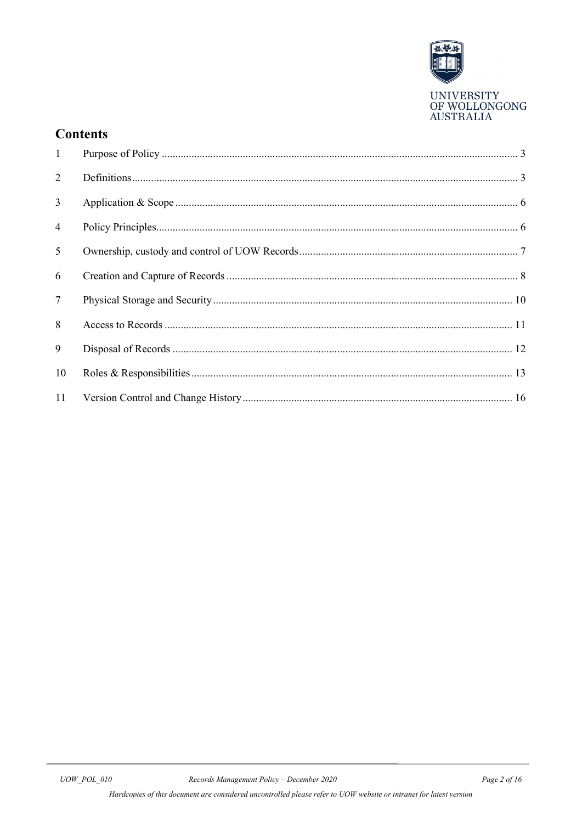

## **Contents**

| $\mathbf{1}$   |  |
|----------------|--|
| 2              |  |
| $\mathfrak{Z}$ |  |
| $\overline{4}$ |  |
| 5              |  |
| 6              |  |
| $\tau$         |  |
| 8              |  |
| 9              |  |
| 10             |  |
| 11             |  |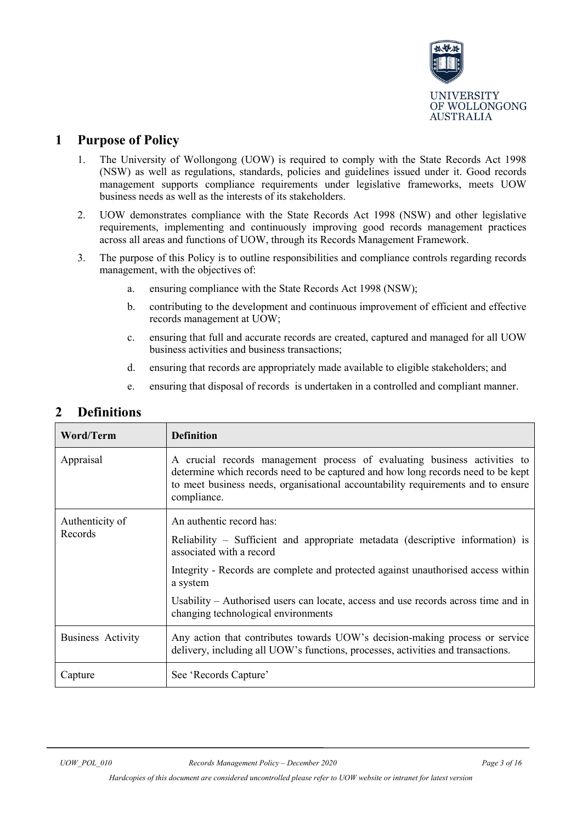

## <span id="page-2-0"></span>**1 Purpose of Policy**

- 1. The University of Wollongong (UOW) is required to comply with the State Records Act 1998 (NSW) as well as regulations, standards, policies and guidelines issued under it. Good records management supports compliance requirements under legislative frameworks, meets UOW business needs as well as the interests of its stakeholders.
- 2. UOW demonstrates compliance with the State Records Act 1998 (NSW) and other legislative requirements, implementing and continuously improving good records management practices across all areas and functions of UOW, through its Records Management Framework.
- 3. The purpose of this Policy is to outline responsibilities and compliance controls regarding records management, with the objectives of:
	- a. ensuring compliance with the State Records Act 1998 (NSW);
	- b. contributing to the development and continuous improvement of efficient and effective records management at UOW;
	- c. ensuring that full and accurate records are created, captured and managed for all UOW business activities and business transactions;
	- d. ensuring that records are appropriately made available to eligible stakeholders; and
	- e. ensuring that disposal of records is undertaken in a controlled and compliant manner.

## <span id="page-2-1"></span>**2 Definitions**

| Word/Term                  | <b>Definition</b>                                                                                                                                                                                                                                                                                                                                                    |  |
|----------------------------|----------------------------------------------------------------------------------------------------------------------------------------------------------------------------------------------------------------------------------------------------------------------------------------------------------------------------------------------------------------------|--|
| Appraisal                  | A crucial records management process of evaluating business activities to<br>determine which records need to be captured and how long records need to be kept<br>to meet business needs, organisational accountability requirements and to ensure<br>compliance.                                                                                                     |  |
| Authenticity of<br>Records | An authentic record has:<br>Reliability – Sufficient and appropriate metadata (descriptive information) is<br>associated with a record<br>Integrity - Records are complete and protected against unauthorised access within<br>a system<br>Usability – Authorised users can locate, access and use records across time and in<br>changing technological environments |  |
| <b>Business Activity</b>   | Any action that contributes towards UOW's decision-making process or service<br>delivery, including all UOW's functions, processes, activities and transactions.                                                                                                                                                                                                     |  |
| Capture                    | See 'Records Capture'                                                                                                                                                                                                                                                                                                                                                |  |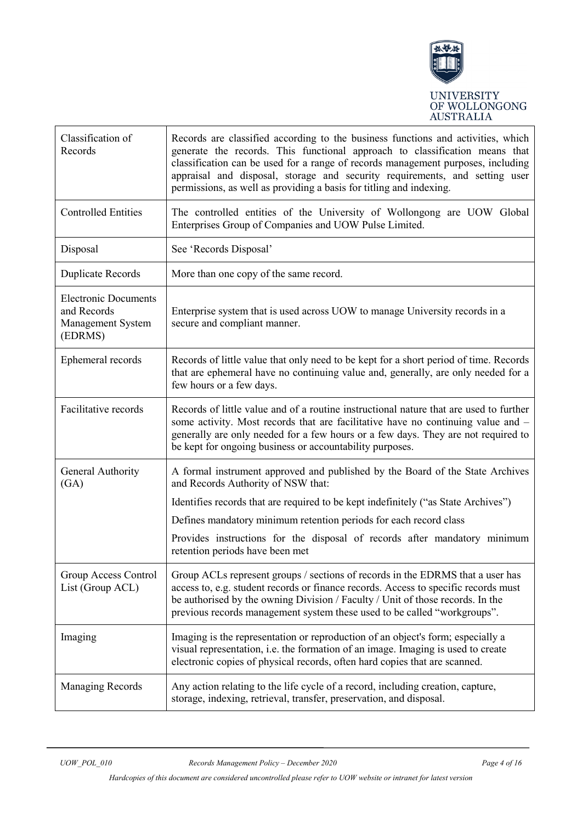

| Classification of<br>Records                                               | Records are classified according to the business functions and activities, which<br>generate the records. This functional approach to classification means that<br>classification can be used for a range of records management purposes, including<br>appraisal and disposal, storage and security requirements, and setting user<br>permissions, as well as providing a basis for titling and indexing. |
|----------------------------------------------------------------------------|-----------------------------------------------------------------------------------------------------------------------------------------------------------------------------------------------------------------------------------------------------------------------------------------------------------------------------------------------------------------------------------------------------------|
| <b>Controlled Entities</b>                                                 | The controlled entities of the University of Wollongong are UOW Global<br>Enterprises Group of Companies and UOW Pulse Limited.                                                                                                                                                                                                                                                                           |
| Disposal                                                                   | See 'Records Disposal'                                                                                                                                                                                                                                                                                                                                                                                    |
| Duplicate Records                                                          | More than one copy of the same record.                                                                                                                                                                                                                                                                                                                                                                    |
| <b>Electronic Documents</b><br>and Records<br>Management System<br>(EDRMS) | Enterprise system that is used across UOW to manage University records in a<br>secure and compliant manner.                                                                                                                                                                                                                                                                                               |
| Ephemeral records                                                          | Records of little value that only need to be kept for a short period of time. Records<br>that are ephemeral have no continuing value and, generally, are only needed for a<br>few hours or a few days.                                                                                                                                                                                                    |
| Facilitative records                                                       | Records of little value and of a routine instructional nature that are used to further<br>some activity. Most records that are facilitative have no continuing value and -<br>generally are only needed for a few hours or a few days. They are not required to<br>be kept for ongoing business or accountability purposes.                                                                               |
| General Authority<br>(GA)                                                  | A formal instrument approved and published by the Board of the State Archives<br>and Records Authority of NSW that:                                                                                                                                                                                                                                                                                       |
|                                                                            | Identifies records that are required to be kept indefinitely ("as State Archives")                                                                                                                                                                                                                                                                                                                        |
|                                                                            | Defines mandatory minimum retention periods for each record class                                                                                                                                                                                                                                                                                                                                         |
|                                                                            | Provides instructions for the disposal of records after mandatory minimum<br>retention periods have been met                                                                                                                                                                                                                                                                                              |
| Group Access Control<br>List (Group ACL)                                   | Group ACLs represent groups / sections of records in the EDRMS that a user has<br>access to, e.g. student records or finance records. Access to specific records must<br>be authorised by the owning Division / Faculty / Unit of those records. In the<br>previous records management system these used to be called "workgroups".                                                                       |
| Imaging                                                                    | Imaging is the representation or reproduction of an object's form; especially a<br>visual representation, i.e. the formation of an image. Imaging is used to create<br>electronic copies of physical records, often hard copies that are scanned.                                                                                                                                                         |
| <b>Managing Records</b>                                                    | Any action relating to the life cycle of a record, including creation, capture,<br>storage, indexing, retrieval, transfer, preservation, and disposal.                                                                                                                                                                                                                                                    |

*Hardcopies of this document are considered uncontrolled please refer to UOW website or intranet for latest version*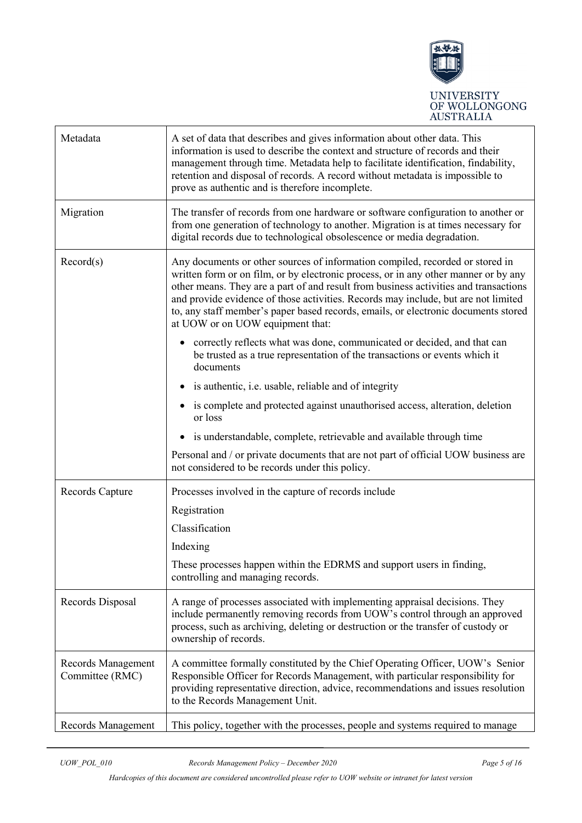

| Metadata                              | A set of data that describes and gives information about other data. This<br>information is used to describe the context and structure of records and their<br>management through time. Metadata help to facilitate identification, findability,<br>retention and disposal of records. A record without metadata is impossible to<br>prove as authentic and is therefore incomplete.                                                                                         |
|---------------------------------------|------------------------------------------------------------------------------------------------------------------------------------------------------------------------------------------------------------------------------------------------------------------------------------------------------------------------------------------------------------------------------------------------------------------------------------------------------------------------------|
| Migration                             | The transfer of records from one hardware or software configuration to another or<br>from one generation of technology to another. Migration is at times necessary for<br>digital records due to technological obsolescence or media degradation.                                                                                                                                                                                                                            |
| Record(s)                             | Any documents or other sources of information compiled, recorded or stored in<br>written form or on film, or by electronic process, or in any other manner or by any<br>other means. They are a part of and result from business activities and transactions<br>and provide evidence of those activities. Records may include, but are not limited<br>to, any staff member's paper based records, emails, or electronic documents stored<br>at UOW or on UOW equipment that: |
|                                       | correctly reflects what was done, communicated or decided, and that can<br>be trusted as a true representation of the transactions or events which it<br>documents                                                                                                                                                                                                                                                                                                           |
|                                       | is authentic, i.e. usable, reliable and of integrity<br>$\bullet$                                                                                                                                                                                                                                                                                                                                                                                                            |
|                                       | is complete and protected against unauthorised access, alteration, deletion<br>or loss                                                                                                                                                                                                                                                                                                                                                                                       |
|                                       | is understandable, complete, retrievable and available through time<br>٠                                                                                                                                                                                                                                                                                                                                                                                                     |
|                                       | Personal and / or private documents that are not part of official UOW business are<br>not considered to be records under this policy.                                                                                                                                                                                                                                                                                                                                        |
| Records Capture                       | Processes involved in the capture of records include                                                                                                                                                                                                                                                                                                                                                                                                                         |
|                                       | Registration                                                                                                                                                                                                                                                                                                                                                                                                                                                                 |
|                                       | Classification                                                                                                                                                                                                                                                                                                                                                                                                                                                               |
|                                       | Indexing                                                                                                                                                                                                                                                                                                                                                                                                                                                                     |
|                                       | These processes happen within the EDRMS and support users in finding,<br>controlling and managing records.                                                                                                                                                                                                                                                                                                                                                                   |
| Records Disposal                      | A range of processes associated with implementing appraisal decisions. They<br>include permanently removing records from UOW's control through an approved<br>process, such as archiving, deleting or destruction or the transfer of custody or<br>ownership of records.                                                                                                                                                                                                     |
| Records Management<br>Committee (RMC) | A committee formally constituted by the Chief Operating Officer, UOW's Senior<br>Responsible Officer for Records Management, with particular responsibility for<br>providing representative direction, advice, recommendations and issues resolution<br>to the Records Management Unit.                                                                                                                                                                                      |
| Records Management                    | This policy, together with the processes, people and systems required to manage                                                                                                                                                                                                                                                                                                                                                                                              |

*Hardcopies of this document are considered uncontrolled please refer to UOW website or intranet for latest version*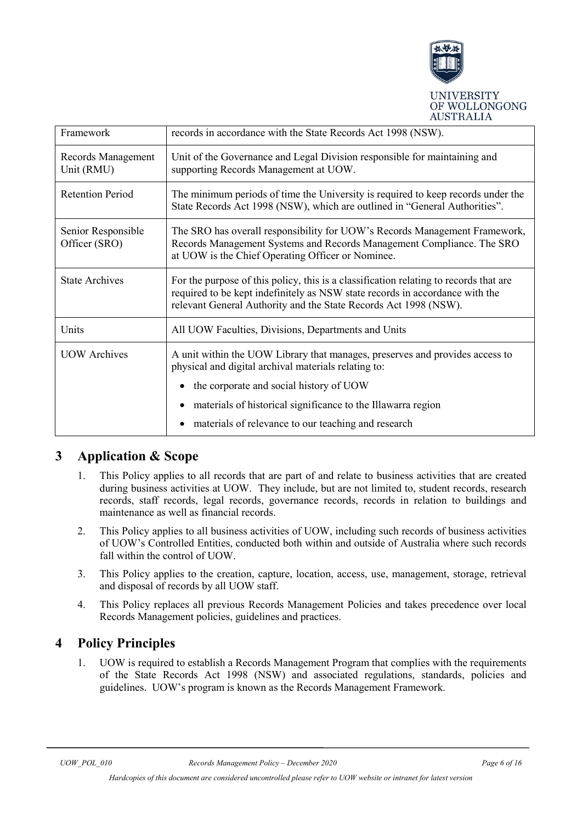

| Framework                           | records in accordance with the State Records Act 1998 (NSW).                                                                                                                                                                              |
|-------------------------------------|-------------------------------------------------------------------------------------------------------------------------------------------------------------------------------------------------------------------------------------------|
| Records Management<br>Unit (RMU)    | Unit of the Governance and Legal Division responsible for maintaining and<br>supporting Records Management at UOW.                                                                                                                        |
| <b>Retention Period</b>             | The minimum periods of time the University is required to keep records under the<br>State Records Act 1998 (NSW), which are outlined in "General Authorities".                                                                            |
| Senior Responsible<br>Officer (SRO) | The SRO has overall responsibility for UOW's Records Management Framework,<br>Records Management Systems and Records Management Compliance. The SRO<br>at UOW is the Chief Operating Officer or Nominee.                                  |
| <b>State Archives</b>               | For the purpose of this policy, this is a classification relating to records that are<br>required to be kept indefinitely as NSW state records in accordance with the<br>relevant General Authority and the State Records Act 1998 (NSW). |
| Units                               | All UOW Faculties, Divisions, Departments and Units                                                                                                                                                                                       |
| <b>UOW</b> Archives                 | A unit within the UOW Library that manages, preserves and provides access to<br>physical and digital archival materials relating to:                                                                                                      |
|                                     | the corporate and social history of UOW                                                                                                                                                                                                   |
|                                     | materials of historical significance to the Illawarra region                                                                                                                                                                              |
|                                     | materials of relevance to our teaching and research                                                                                                                                                                                       |

## <span id="page-5-0"></span>**3 Application & Scope**

- 1. This Policy applies to all records that are part of and relate to business activities that are created during business activities at UOW. They include, but are not limited to, student records, research records, staff records, legal records, governance records, records in relation to buildings and maintenance as well as financial records.
- 2. This Policy applies to all business activities of UOW, including such records of business activities of UOW's Controlled Entities, conducted both within and outside of Australia where such records fall within the control of UOW.
- 3. This Policy applies to the creation, capture, location, access, use, management, storage, retrieval and disposal of records by all UOW staff.
- 4. This Policy replaces all previous Records Management Policies and takes precedence over local Records Management policies, guidelines and practices.

## <span id="page-5-1"></span>**4 Policy Principles**

1. UOW is required to establish a Records Management Program that complies with the requirements of the State Records Act 1998 (NSW) and associated regulations, standards, policies and guidelines. UOW's program is known as the Records Management Framework.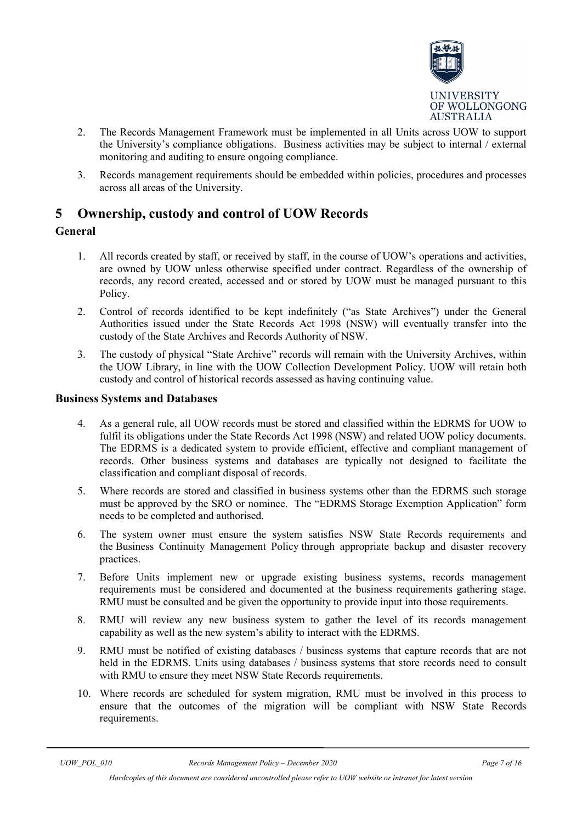

- 2. The Records Management Framework must be implemented in all Units across UOW to support the University's compliance obligations. Business activities may be subject to internal / external monitoring and auditing to ensure ongoing compliance.
- 3. Records management requirements should be embedded within policies, procedures and processes across all areas of the University.

## <span id="page-6-0"></span>**5 Ownership, custody and control of UOW Records**

#### **General**

- 1. All records created by staff, or received by staff, in the course of UOW's operations and activities, are owned by UOW unless otherwise specified under contract. Regardless of the ownership of records, any record created, accessed and or stored by UOW must be managed pursuant to this Policy.
- 2. Control of records identified to be kept indefinitely ("as State Archives") under the General Authorities issued under the State Records Act 1998 (NSW) will eventually transfer into the custody of the State Archives and Records Authority of NSW.
- 3. The custody of physical "State Archive" records will remain with the University Archives, within the UOW Library, in line with the UOW Collection Development Policy. UOW will retain both custody and control of historical records assessed as having continuing value.

#### **Business Systems and Databases**

- 4. As a general rule, all UOW records must be stored and classified within the EDRMS for UOW to fulfil its obligations under the State Records Act 1998 (NSW) and related UOW policy documents. The EDRMS is a dedicated system to provide efficient, effective and compliant management of records. Other business systems and databases are typically not designed to facilitate the classification and compliant disposal of records.
- 5. Where records are stored and classified in business systems other than the EDRMS such storage must be approved by the SRO or nominee. The "EDRMS Storage Exemption Application" form needs to be completed and authorised.
- 6. The system owner must ensure the system satisfies NSW State Records requirements and the [Business Continuity Management Policy](http://www.uow.edu.au/about/policy/UOW062276.html) through appropriate backup and disaster recovery practices.
- 7. Before Units implement new or upgrade existing business systems, records management requirements must be considered and documented at the business requirements gathering stage. RMU must be consulted and be given the opportunity to provide input into those requirements.
- 8. RMU will review any new business system to gather the level of its records management capability as well as the new system's ability to interact with the EDRMS.
- 9. RMU must be notified of existing databases / business systems that capture records that are not held in the EDRMS. Units using databases / business systems that store records need to consult with RMU to ensure they meet NSW State Records requirements.
- 10. Where records are scheduled for system migration, RMU must be involved in this process to ensure that the outcomes of the migration will be compliant with NSW State Records requirements.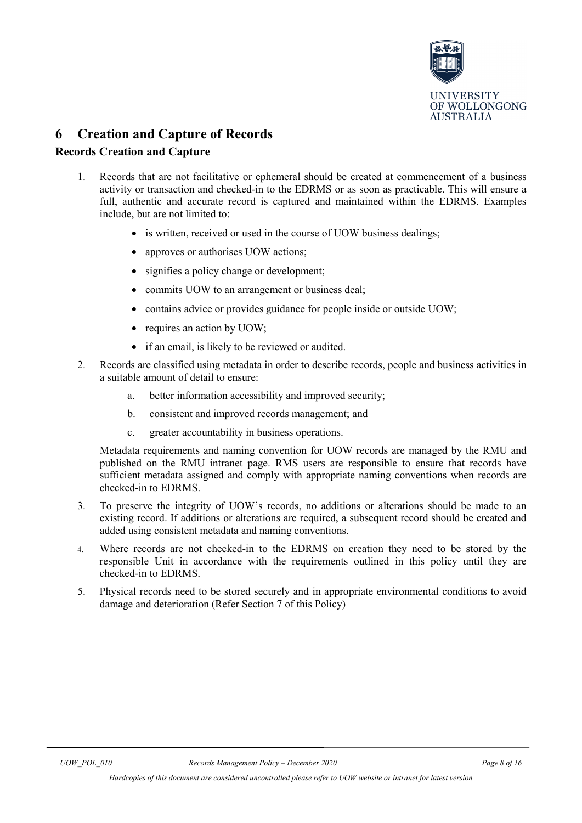

## <span id="page-7-0"></span>**6 Creation and Capture of Records**

#### **Records Creation and Capture**

- 1. Records that are not facilitative or ephemeral should be created at commencement of a business activity or transaction and checked-in to the EDRMS or as soon as practicable. This will ensure a full, authentic and accurate record is captured and maintained within the EDRMS. Examples include, but are not limited to:
	- is written, received or used in the course of UOW business dealings;
	- approves or authorises UOW actions;
	- signifies a policy change or development;
	- commits UOW to an arrangement or business deal:
	- contains advice or provides guidance for people inside or outside UOW;
	- requires an action by UOW;
	- if an email, is likely to be reviewed or audited.
- 2. Records are classified using metadata in order to describe records, people and business activities in a suitable amount of detail to ensure:
	- a. better information accessibility and improved security;
	- b. consistent and improved records management; and
	- c. greater accountability in business operations.

Metadata requirements and naming convention for UOW records are managed by the RMU and published on the RMU intranet page. RMS users are responsible to ensure that records have sufficient metadata assigned and comply with appropriate naming conventions when records are checked-in to EDRMS.

- 3. To preserve the integrity of UOW's records, no additions or alterations should be made to an existing record. If additions or alterations are required, a subsequent record should be created and added using consistent metadata and naming conventions.
- 4. Where records are not checked-in to the EDRMS on creation they need to be stored by the responsible Unit in accordance with the requirements outlined in this policy until they are checked-in to EDRMS.
- 5. Physical records need to be stored securely and in appropriate environmental conditions to avoid damage and deterioration (Refer Section 7 of this Policy)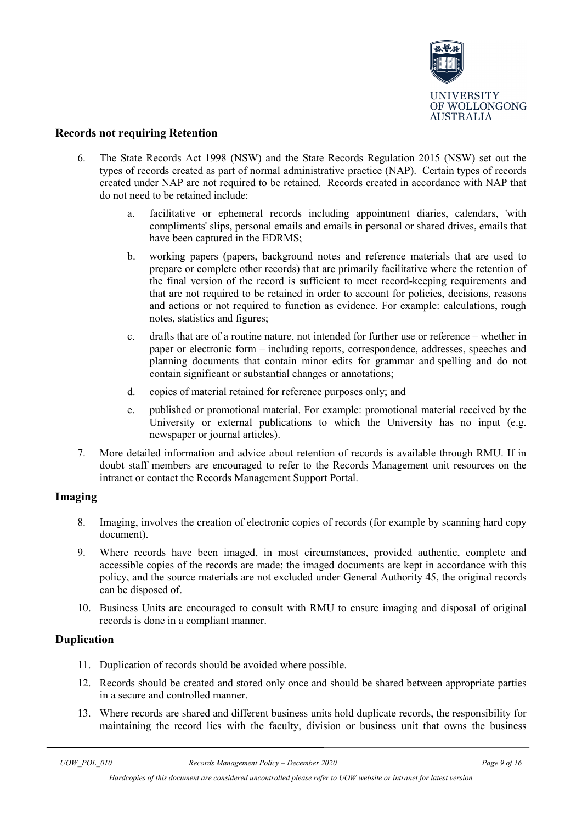

#### **Records not requiring Retention**

- 6. The State Records Act 1998 (NSW) and the State Records Regulation 2015 (NSW) set out the types of records created as part of normal administrative practice (NAP). Certain types of records created under NAP are not required to be retained. Records created in accordance with NAP that do not need to be retained include:
	- a. facilitative or ephemeral records including appointment diaries, calendars, 'with compliments' slips, personal emails and emails in personal or shared drives, emails that have been captured in the EDRMS;
	- b. working papers (papers, background notes and reference materials that are used to prepare or complete other records) that are primarily facilitative where the retention of the final version of the record is sufficient to meet record-keeping requirements and that are not required to be retained in order to account for policies, decisions, reasons and actions or not required to function as evidence. For example: calculations, rough notes, statistics and figures;
	- c. drafts that are of a routine nature, not intended for further use or reference whether in paper or electronic form – including reports, correspondence, addresses, speeches and planning documents that contain minor edits for grammar and spelling and do not contain significant or substantial changes or annotations;
	- d. copies of material retained for reference purposes only; and
	- e. published or promotional material. For example: promotional material received by the University or external publications to which the University has no input (e.g. newspaper or journal articles).
- 7. More detailed information and advice about retention of records is available through RMU. If in doubt staff members are encouraged to refer to the Records Management unit resources on the intranet or contact the Records Management Support Portal.

#### **Imaging**

- 8. Imaging, involves the creation of electronic copies of records (for example by scanning hard copy document).
- 9. Where records have been imaged, in most circumstances, provided authentic, complete and accessible copies of the records are made; the imaged documents are kept in accordance with this policy, and the source materials are not excluded under General Authority 45, the original records can be disposed of.
- 10. Business Units are encouraged to consult with RMU to ensure imaging and disposal of original records is done in a compliant manner.

#### **Duplication**

- 11. Duplication of records should be avoided where possible.
- 12. Records should be created and stored only once and should be shared between appropriate parties in a secure and controlled manner.
- 13. Where records are shared and different business units hold duplicate records, the responsibility for maintaining the record lies with the faculty, division or business unit that owns the business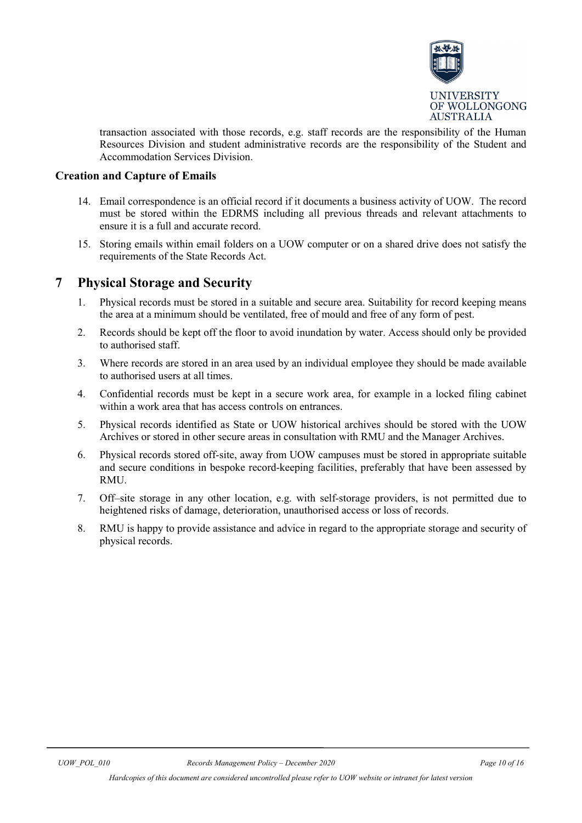

transaction associated with those records, e.g. staff records are the responsibility of the Human Resources Division and student administrative records are the responsibility of the Student and Accommodation Services Division.

#### **Creation and Capture of Emails**

- 14. Email correspondence is an official record if it documents a business activity of UOW. The record must be stored within the EDRMS including all previous threads and relevant attachments to ensure it is a full and accurate record.
- 15. Storing emails within email folders on a UOW computer or on a shared drive does not satisfy the requirements of the State Records Act.

### <span id="page-9-0"></span>**7 Physical Storage and Security**

- 1. Physical records must be stored in a suitable and secure area. Suitability for record keeping means the area at a minimum should be ventilated, free of mould and free of any form of pest.
- 2. Records should be kept off the floor to avoid inundation by water. Access should only be provided to authorised staff.
- 3. Where records are stored in an area used by an individual employee they should be made available to authorised users at all times.
- 4. Confidential records must be kept in a secure work area, for example in a locked filing cabinet within a work area that has access controls on entrances.
- 5. Physical records identified as State or UOW historical archives should be stored with the UOW Archives or stored in other secure areas in consultation with RMU and the Manager Archives.
- 6. Physical records stored off-site, away from UOW campuses must be stored in appropriate suitable and secure conditions in bespoke record-keeping facilities, preferably that have been assessed by RMU.
- 7. Off–site storage in any other location, e.g. with self-storage providers, is not permitted due to heightened risks of damage, deterioration, unauthorised access or loss of records.
- 8. RMU is happy to provide assistance and advice in regard to the appropriate storage and security of physical records.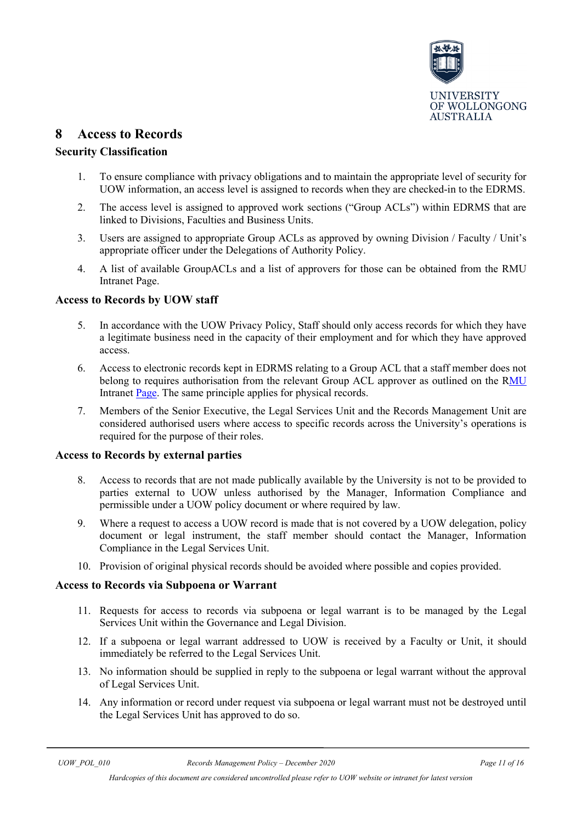

## <span id="page-10-0"></span>**8 Access to Records**

#### **Security Classification**

- 1. To ensure compliance with privacy obligations and to maintain the appropriate level of security for UOW information, an access level is assigned to records when they are checked-in to the EDRMS.
- 2. The access level is assigned to approved work sections ("Group ACLs") within EDRMS that are linked to Divisions, Faculties and Business Units.
- 3. Users are assigned to appropriate Group ACLs as approved by owning Division / Faculty / Unit's appropriate officer under the Delegations of Authority Policy.
- 4. A list of available GroupACLs and a list of approvers for those can be obtained from the RMU Intranet Page.

#### **Access to Records by UOW staff**

- 5. In accordance with the UOW Privacy Policy, Staff should only access records for which they have a legitimate business need in the capacity of their employment and for which they have approved access.
- 6. Access to electronic records kept in EDRMS relating to a Group ACL that a staff member does not belong to requires authorisation from the relevant Group ACL approver as outlined on the [RMU](https://intranet.uow.edu.au/recordsmanagement/workgroups/index.html) [Intranet Page.](https://intranet.uow.edu.au/recordsmanagement/workgroups/index.html) The same principle applies for physical records.
- 7. Members of the Senior Executive, the Legal Services Unit and the Records Management Unit are considered authorised users where access to specific records across the University's operations is required for the purpose of their roles.

#### **Access to Records by external parties**

- 8. Access to records that are not made publically available by the University is not to be provided to parties external to UOW unless authorised by the Manager, Information Compliance and permissible under a UOW policy document or where required by law.
- 9. Where a request to access a UOW record is made that is not covered by a UOW delegation, policy document or legal instrument, the staff member should contact the Manager, Information Compliance in the Legal Services Unit.
- 10. Provision of original physical records should be avoided where possible and copies provided.

#### **Access to Records via Subpoena or Warrant**

- 11. Requests for access to records via subpoena or legal warrant is to be managed by the Legal Services Unit within the Governance and Legal Division.
- 12. If a subpoena or legal warrant addressed to UOW is received by a Faculty or Unit, it should immediately be referred to the Legal Services Unit.
- 13. No information should be supplied in reply to the subpoena or legal warrant without the approval of Legal Services Unit.
- 14. Any information or record under request via subpoena or legal warrant must not be destroyed until the Legal Services Unit has approved to do so.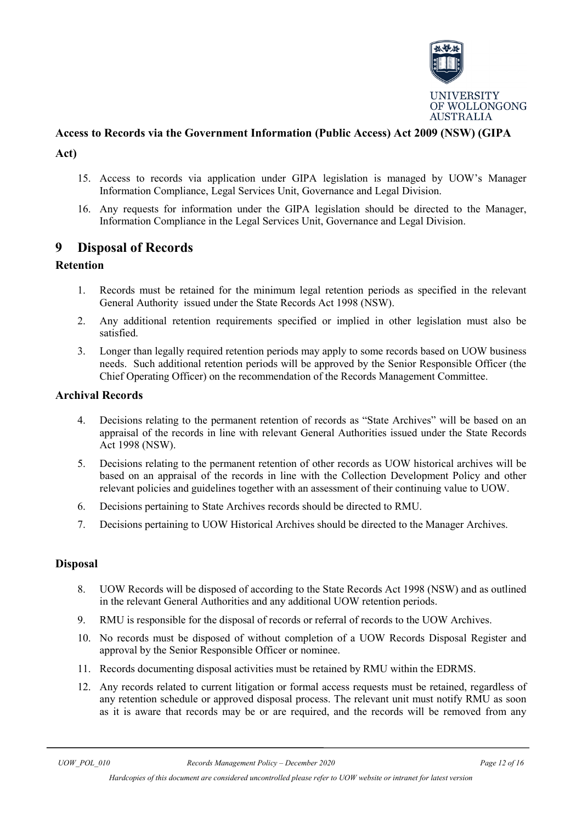

#### **Access to Records via the Government Information (Public Access) Act 2009 (NSW) (GIPA**

- **Act)** 
	- 15. Access to records via application under GIPA legislation is managed by UOW's Manager Information Compliance, Legal Services Unit, Governance and Legal Division.
	- 16. Any requests for information under the GIPA legislation should be directed to the Manager, Information Compliance in the Legal Services Unit, Governance and Legal Division.

#### <span id="page-11-0"></span>**9 Disposal of Records**

#### **Retention**

- 1. Records must be retained for the minimum legal retention periods as specified in the relevant General Authority issued under the State Records Act 1998 (NSW).
- 2. Any additional retention requirements specified or implied in other legislation must also be satisfied.
- 3. Longer than legally required retention periods may apply to some records based on UOW business needs. Such additional retention periods will be approved by the Senior Responsible Officer (the Chief Operating Officer) on the recommendation of the Records Management Committee.

#### **Archival Records**

- 4. Decisions relating to the permanent retention of records as "State Archives" will be based on an appraisal of the records in line with relevant General Authorities issued under the State Records Act 1998 (NSW).
- 5. Decisions relating to the permanent retention of other records as UOW historical archives will be based on an appraisal of the records in line with the Collection Development Policy and other relevant policies and guidelines together with an assessment of their continuing value to UOW.
- 6. Decisions pertaining to State Archives records should be directed to RMU.
- 7. Decisions pertaining to UOW Historical Archives should be directed to the Manager Archives.

#### **Disposal**

- 8. UOW Records will be disposed of according to the State Records Act 1998 (NSW) and as outlined in the relevant General Authorities and any additional UOW retention periods.
- 9. RMU is responsible for the disposal of records or referral of records to the UOW Archives.
- 10. No records must be disposed of without completion of a [UOW Records Disposal Register](http://www.uow.edu.au/content/idcplg?IdcService=GET_FILE&dDocName=UOW053236&RevisionSelectionMethod=latestReleased) and approval by the Senior Responsible Officer or nominee.
- 11. Records documenting disposal activities must be retained by RMU within the EDRMS.
- 12. Any records related to current litigation or formal access requests must be retained, regardless of any retention schedule or approved disposal process. The relevant unit must notify RMU as soon as it is aware that records may be or are required, and the records will be removed from any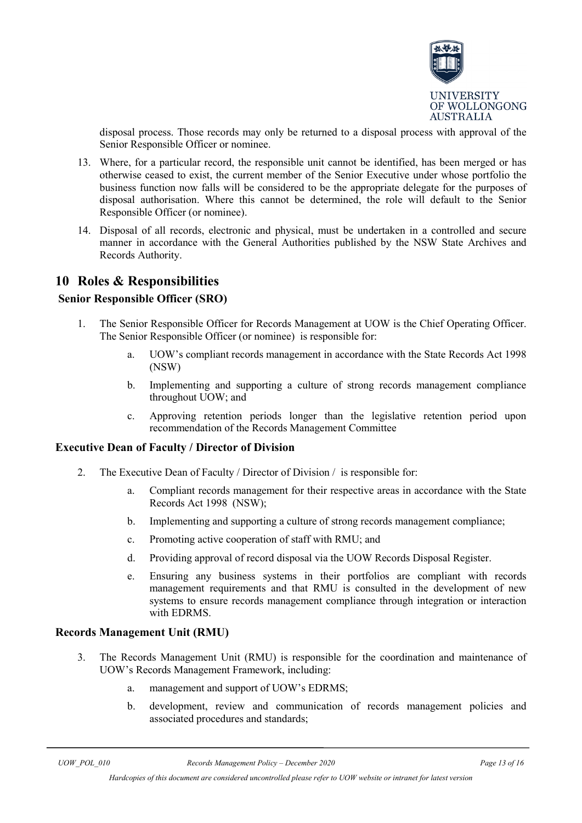

disposal process. Those records may only be returned to a disposal process with approval of the Senior Responsible Officer or nominee.

- 13. Where, for a particular record, the responsible unit cannot be identified, has been merged or has otherwise ceased to exist, the current member of the Senior Executive under whose portfolio the business function now falls will be considered to be the appropriate delegate for the purposes of disposal authorisation. Where this cannot be determined, the role will default to the Senior Responsible Officer (or nominee).
- 14. Disposal of all records, electronic and physical, must be undertaken in a controlled and secure manner in accordance with the General Authorities published by the NSW State Archives and Records Authority.

#### <span id="page-12-0"></span>**10 Roles & Responsibilities**

#### **Senior Responsible Officer (SRO)**

- 1. The Senior Responsible Officer for Records Management at UOW is the Chief Operating Officer. The Senior Responsible Officer (or nominee) is responsible for:
	- a. UOW's compliant records management in accordance with the State Records Act 1998 (NSW)
	- b. Implementing and supporting a culture of strong records management compliance throughout UOW; and
	- c. Approving retention periods longer than the legislative retention period upon recommendation of the Records Management Committee

#### **Executive Dean of Faculty / Director of Division**

- 2. The Executive Dean of Faculty / Director of Division / is responsible for:
	- a. Compliant records management for their respective areas in accordance with the State Records Act 1998 (NSW);
	- b. Implementing and supporting a culture of strong records management compliance;
	- c. Promoting active cooperation of staff with RMU; and
	- d. Providing approval of record disposal via the [UOW Records Disposal Register.](https://intranet.uow.edu.au/static/UOW_Records_Disposal_Register_latestReleased_UOW053236.docx)
	- e. Ensuring any business systems in their portfolios are compliant with records management requirements and that RMU is consulted in the development of new systems to ensure records management compliance through integration or interaction with EDRMS.

#### **Records Management Unit (RMU)**

- 3. The Records Management Unit (RMU) is responsible for the coordination and maintenance of UOW's Records Management Framework, including:
	- a. management and support of UOW's EDRMS;
	- b. development, review and communication of records management policies and associated procedures and standards;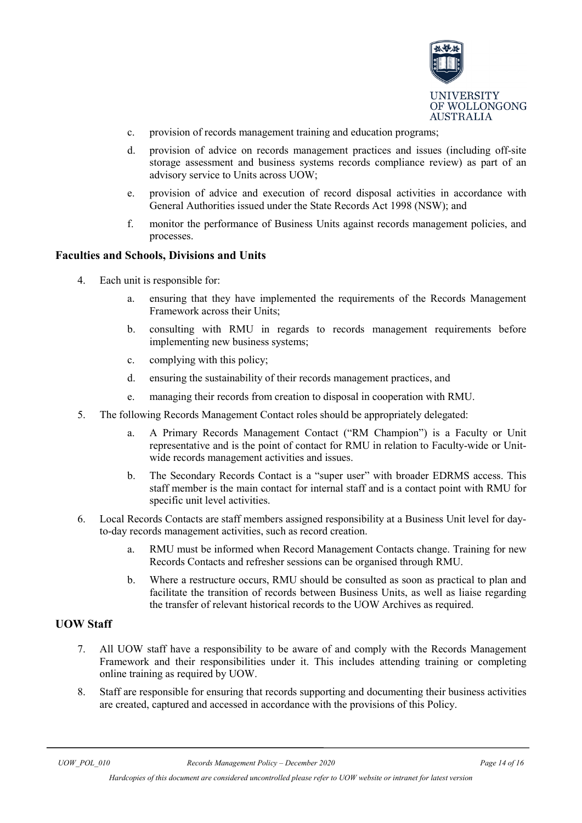

- c. provision of records management training and education programs;
- d. provision of advice on records management practices and issues (including off-site storage assessment and business systems records compliance review) as part of an advisory service to Units across UOW;
- e. provision of advice and execution of record disposal activities in accordance with General Authorities issued under the State Records Act 1998 (NSW); and
- f. monitor the performance of Business Units against records management policies, and processes.

#### **Faculties and Schools, Divisions and Units**

- 4. Each unit is responsible for:
	- a. ensuring that they have implemented the requirements of the Records Management Framework across their Units;
	- b. consulting with RMU in regards to records management requirements before implementing new business systems;
	- c. complying with this policy;
	- d. ensuring the sustainability of their records management practices, and
	- e. managing their records from creation to disposal in cooperation with RMU.
- 5. The following Records Management Contact roles should be appropriately delegated:
	- a. A Primary Records Management Contact ("RM Champion") is a Faculty or Unit representative and is the point of contact for RMU in relation to Faculty-wide or Unitwide records management activities and issues.
	- b. The Secondary Records Contact is a "super user" with broader EDRMS access. This staff member is the main contact for internal staff and is a contact point with RMU for specific unit level activities.
- 6. Local Records Contacts are staff members assigned responsibility at a Business Unit level for dayto-day records management activities, such as record creation.
	- a. RMU must be informed when Record Management Contacts change. Training for new Records Contacts and refresher sessions can be organised through RMU.
	- b. Where a restructure occurs, RMU should be consulted as soon as practical to plan and facilitate the transition of records between Business Units, as well as liaise regarding the transfer of relevant historical records to the UOW Archives as required.

#### **UOW Staff**

- 7. All UOW staff have a responsibility to be aware of and comply with the Records Management Framework and their responsibilities under it. This includes attending training or completing online training as required by UOW.
- 8. Staff are responsible for ensuring that records supporting and documenting their business activities are created, captured and accessed in accordance with the provisions of this Policy.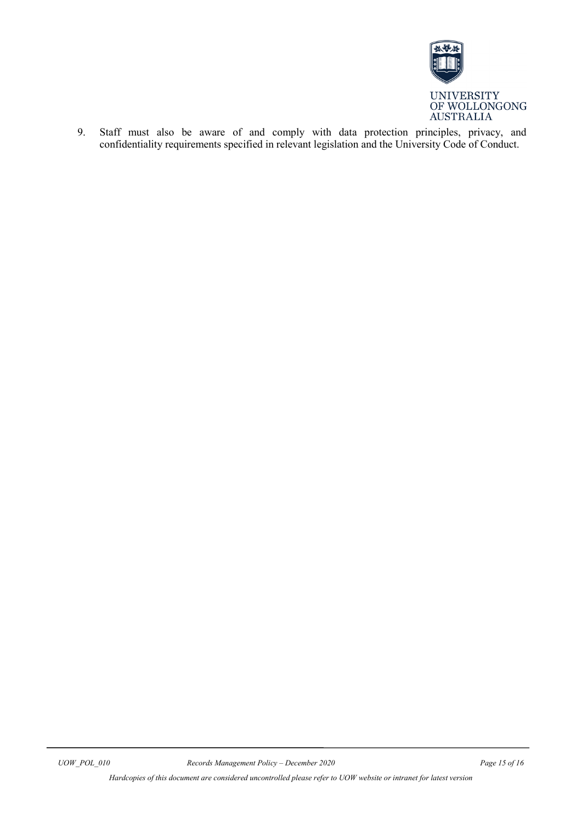

9. Staff must also be aware of and comply with data protection principles, privacy, and confidentiality requirements specified in relevant legislation and the University Code of Conduct.